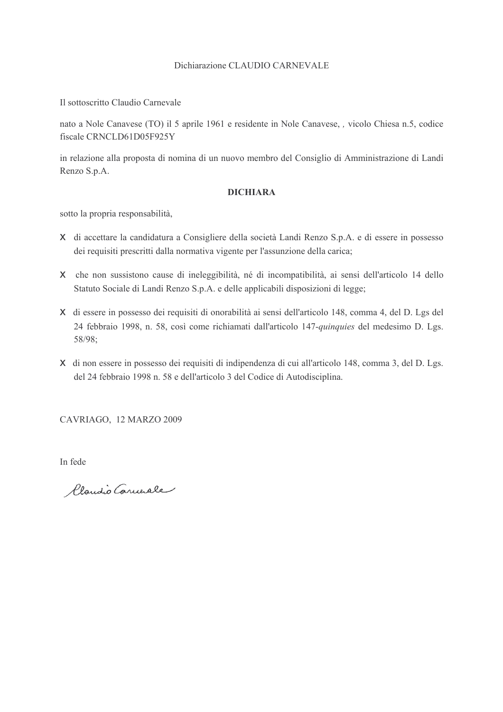## Dichiarazione CLAUDIO CARNEVALE

Il sottoscritto Claudio Carnevale

nato a Nole Canavese (TO) il 5 aprile 1961 e residente in Nole Canavese, , vicolo Chiesa n.5, codice fiscale CRNCLD61D05F925Y

in relazione alla proposta di nomina di un nuovo membro del Consiglio di Amministrazione di Landi Renzo S.p.A.

## **DICHIARA**

sotto la propria responsabilità,

- X di accettare la candidatura a Consigliere della società Landi Renzo S.p.A. e di essere in possesso dei requisiti prescritti dalla normativa vigente per l'assunzione della carica;
- X che non sussistono cause di ineleggibilità, né di incompatibilità, ai sensi dell'articolo 14 dello Statuto Sociale di Landi Renzo S.p.A. e delle applicabili disposizioni di legge;
- X di essere in possesso dei requisiti di onorabilità ai sensi dell'articolo 148, comma 4, del D. Lgs del 24 febbraio 1998, n. 58, così come richiamati dall'articolo 147-quinquies del medesimo D. Lgs. 58/98:
- X di non essere in possesso dei requisiti di indipendenza di cui all'articolo 148, comma 3, del D. Lgs. del 24 febbraio 1998 n. 58 e dell'articolo 3 del Codice di Autodisciplina.

CAVRIAGO, 12 MARZO 2009

In fede

Claudio Carmele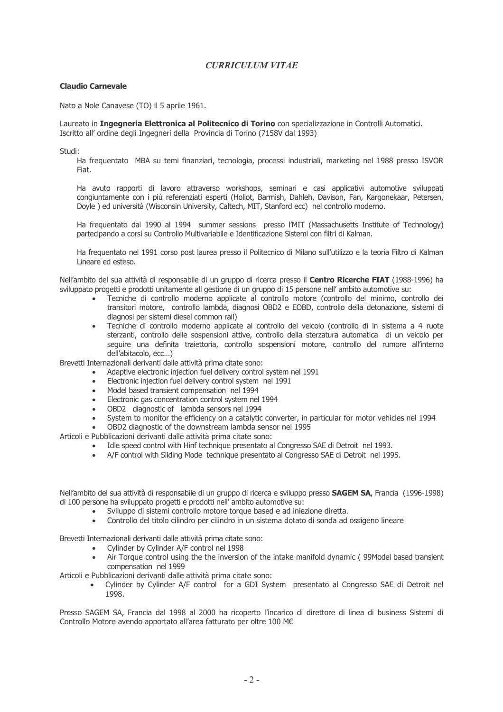# **CURRICULUM VITAE**

#### **Claudio Carnevale**

Nato a Nole Canavese (TO) il 5 aprile 1961.

Laureato in Ingegneria Elettronica al Politecnico di Torino con specializzazione in Controlli Automatici. Iscritto all' ordine degli Ingegneri della Provincia di Torino (7158V dal 1993)

Studi:

Ha frequentato MBA su temi finanziari, tecnologia, processi industriali, marketing nel 1988 presso ISVOR Fiat.

Ha avuto rapporti di lavoro attraverso workshops, seminari e casi applicativi automotive sviluppati congiuntamente con i più referenziati esperti (Hollot, Barmish, Dahleh, Davison, Fan, Kargonekaar, Petersen, Doyle) ed università (Wisconsin University, Caltech, MIT, Stanford ecc) nel controllo moderno.

Ha frequentato dal 1990 al 1994 summer sessions presso l'MIT (Massachusetts Institute of Technology) partecipando a corsi su Controllo Multivariabile e Identificazione Sistemi con filtri di Kalman.

Ha frequentato nel 1991 corso post laurea presso il Politecnico di Milano sull'utilizzo e la teoria Filtro di Kalman Lineare ed esteso.

Nell'ambito del sua attività di responsabile di un gruppo di ricerca presso il Centro Ricerche FIAT (1988-1996) ha sviluppato progetti e prodotti unitamente all gestione di un gruppo di 15 persone nell' ambito automotive su:

- Tecniche di controllo moderno applicate al controllo motore (controllo del minimo, controllo dei transitori motore, controllo lambda, diagnosi OBD2 e EOBD, controllo della detonazione, sistemi di diagnosi per sistemi diesel common rail)
- Tecniche di controllo moderno applicate al controllo del veicolo (controllo di in sistema a 4 ruote sterzanti, controllo delle sospensioni attive, controllo della sterzatura automatica di un veicolo per seguire una definita traiettoria, controllo sospensioni motore, controllo del rumore all'interno dell'abitacolo, ecc...)

Brevetti Internazionali derivanti dalle attività prima citate sono:

- Adaptive electronic injection fuel delivery control system nel 1991
- Electronic injection fuel delivery control system nel 1991
- Model based transient compensation nel 1994
- Electronic gas concentration control system nel 1994
- OBD2 diagnostic of lambda sensors nel 1994
- System to monitor the efficiency on a catalytic converter, in particular for motor vehicles nel 1994

OBD2 diagnostic of the downstream lambda sensor nel 1995

- Articoli e Pubblicazioni derivanti dalle attività prima citate sono: Idle speed control with Hinf technique presentato al Congresso SAE di Detroit nel 1993.
	-
	- A/F control with Sliding Mode technique presentato al Congresso SAE di Detroit nel 1995.

Nell'ambito del sua attività di responsabile di un gruppo di ricerca e sviluppo presso SAGEM SA, Francia (1996-1998) di 100 persone ha sviluppato progetti e prodotti nell' ambito automotive su:

- Sviluppo di sistemi controllo motore torque based e ad iniezione diretta.
- Controllo del titolo cilindro per cilindro in un sistema dotato di sonda ad ossigeno lineare

Brevetti Internazionali derivanti dalle attività prima citate sono:

- Cylinder by Cylinder A/F control nel 1998
- Air Torque control using the the inversion of the intake manifold dynamic (99Model based transient compensation nel 1999

Articoli e Pubblicazioni derivanti dalle attività prima citate sono:

Cylinder by Cylinder A/F control for a GDI System presentato al Congresso SAE di Detroit nel  $\bullet$ 1998.

Presso SAGEM SA, Francia dal 1998 al 2000 ha ricoperto l'incarico di direttore di linea di business Sistemi di Controllo Motore avendo apportato all'area fatturato per oltre 100 M€